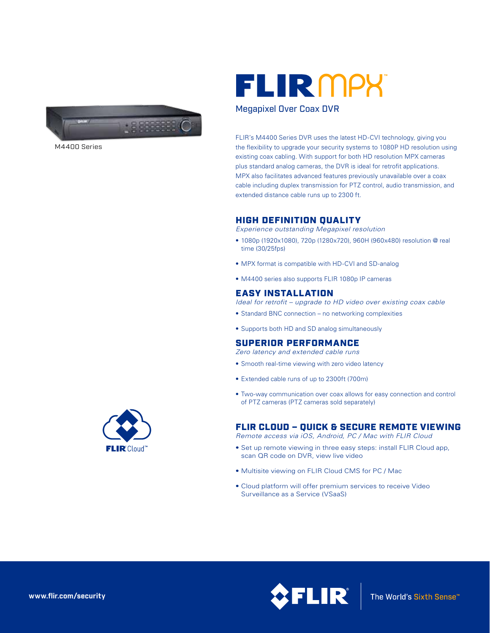

M4400 Series



## Megapixel Over Coax DVR

FLIR's M4400 Series DVR uses the latest HD-CVI technology, giving you the flexibility to upgrade your security systems to 1080P HD resolution using existing coax cabling. With support for both HD resolution MPX cameras plus standard analog cameras, the DVR is ideal for retrofit applications. MPX also facilitates advanced features previously unavailable over a coax cable including duplex transmission for PTZ control, audio transmission, and extended distance cable runs up to 2300 ft.

## HIGH DEFINITION QUALITY

*Experience outstanding Megapixel resolution*

- 1080p (1920x1080), 720p (1280x720), 960H (960x480) resolution @ real time (30/25fps)
- MPX format is compatible with HD-CVI and SD-analog
- M4400 series also supports FLIR 1080p IP cameras

## EASY INSTALLATION

*Ideal for retrofit – upgrade to HD video over existing coax cable*

- Standard BNC connection no networking complexities
- Supports both HD and SD analog simultaneously

# SUPERIOR PERFORMANCE

*Zero latency and extended cable runs*

- Smooth real-time viewing with zero video latency
- Extended cable runs of up to 2300ft (700m)
- Two-way communication over coax allows for easy connection and control of PTZ cameras (PTZ cameras sold separately)

# FLIR CLOUD – QUICK & SECURE REMOTE VIEWING

*Remote access via iOS, Android, PC / Mac with FLIR Cloud*

- Set up remote viewing in three easy steps: install FLIR Cloud app, scan QR code on DVR, view live video
- Multisite viewing on FLIR Cloud CMS for PC / Mac
- Cloud platform will offer premium services to receive Video Surveillance as a Service (VSaaS)



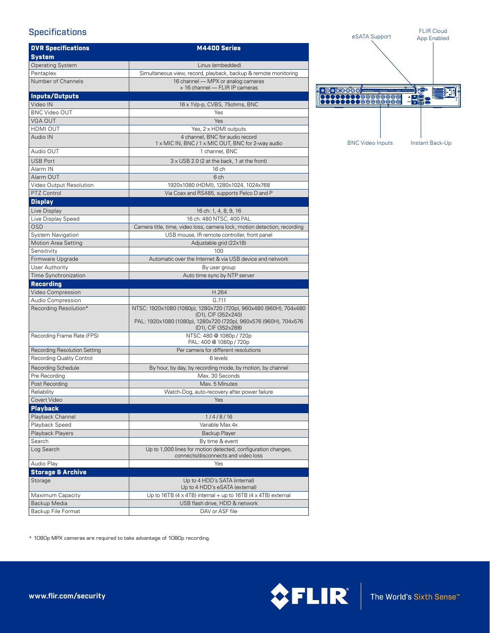# **Specifications**

| <b>DVR Specifications</b>           | M4400 Series                                                                                                                                                                        |
|-------------------------------------|-------------------------------------------------------------------------------------------------------------------------------------------------------------------------------------|
| <b>System</b>                       |                                                                                                                                                                                     |
| <b>Operating System</b>             | Linux (embedded)                                                                                                                                                                    |
| Pentaplex                           | Simultaneous view, record, playback, backup & remote monitoring                                                                                                                     |
| Number of Channels                  | 16 channel - MPX or analog cameras<br>+ 16 channel — FLIR IP cameras                                                                                                                |
| <b>Inputs/Outputs</b>               |                                                                                                                                                                                     |
| Video IN                            | 16 x 1Vp-p, CVBS, 75ohms, BNC                                                                                                                                                       |
| <b>BNC Video OUT</b>                | Yes                                                                                                                                                                                 |
| <b>VGA OUT</b>                      | Yes                                                                                                                                                                                 |
| HDMI OUT                            | Yes, 2 x HDMI outputs                                                                                                                                                               |
| Audio IN                            | 4 channel, BNC for audio record<br>1 x MIC IN, BNC / 1 x MIC OUT, BNC for 2-way audio                                                                                               |
| Audio OUT                           | 1 channel, BNC                                                                                                                                                                      |
| <b>USB Port</b>                     | 3 x USB 2.0 (2 at the back, 1 at the front)                                                                                                                                         |
| Alarm IN                            | 16 ch                                                                                                                                                                               |
| Alarm OUT                           | 6 ch                                                                                                                                                                                |
| Video Output Resolution             | 1920x1080 (HDMI), 1280x1024, 1024x768                                                                                                                                               |
| PTZ Control                         | Via Coax and RS485, supports Pelco D and P                                                                                                                                          |
| <b>Display</b>                      |                                                                                                                                                                                     |
| Live Display                        | 16 ch: 1, 4, 8, 9, 16                                                                                                                                                               |
| Live Display Speed                  | 16 ch: 480 NTSC, 400 PAL                                                                                                                                                            |
| <b>OSD</b>                          | Camera title, time, video loss, camera lock, motion detection, recording                                                                                                            |
| System Navigation                   | USB mouse, IR remote controller, front panel                                                                                                                                        |
| <b>Motion Area Setting</b>          | Adjustable grid (22x18)                                                                                                                                                             |
| Sensitivity                         | 100                                                                                                                                                                                 |
| Firmware Upgrade                    | Automatic over the Internet & via USB device and network                                                                                                                            |
| User Authority                      | By user group                                                                                                                                                                       |
| Time Synchronization                | Auto time sync by NTP server                                                                                                                                                        |
| <b>Recording</b>                    |                                                                                                                                                                                     |
| Video Compression                   | H.264                                                                                                                                                                               |
| Audio Compression                   | G.711                                                                                                                                                                               |
| Recording Resolution*               | NTSC: 1920x1080 (1080p), 1280x720 (720p), 960x480 (960H), 704x480<br>(D1), CIF (352×240)<br>PAL: 1920x1080 (1080p), 1280x720 (720p), 960x576 (960H), 704x576<br>(D1), CIF (352x288) |
| Recording Frame Rate (FPS)          | NTSC: 480 @ 1080p / 720p<br>PAL: 400 @ 1080p / 720p                                                                                                                                 |
| <b>Recording Resolution Setting</b> | Per camera for different resolutions                                                                                                                                                |
| Recording Quality Control           | 6 levels                                                                                                                                                                            |
| <b>Recording Schedule</b>           | By hour, by day, by recording mode, by motion, by channel                                                                                                                           |
| Pre Recording                       | Max. 30 Seconds                                                                                                                                                                     |
| Post Recording                      | Max. 5 Minutes                                                                                                                                                                      |
| Reliability                         | Watch-Dog, auto-recovery after power failure                                                                                                                                        |
| Covert Video                        | <b>Example Street Yes</b>                                                                                                                                                           |
| <b>Playback</b>                     |                                                                                                                                                                                     |
| Playback Channel                    | 1/4/8/16                                                                                                                                                                            |
| Playback Speed                      | Variable Max 4x                                                                                                                                                                     |
| Playback Players                    | Backup Player                                                                                                                                                                       |
| Search                              | By time & event                                                                                                                                                                     |
| Log Search                          | Up to 1,000 lines for motion detected, configuration changes,<br>connects/disconnects and video loss                                                                                |
| Audio Play                          | Yes                                                                                                                                                                                 |
| <b>Storage &amp; Archive</b>        |                                                                                                                                                                                     |
| Storage                             | Up to 4 HDD's SATA (internal)<br>Up to 4 HDD's eSATA (external)                                                                                                                     |
| Maximum Capacity                    | Up to 16TB (4 x 4TB) internal + up to 16TB (4 x 4TB) external                                                                                                                       |
| Backup Media                        | USB flash drive, HDD & network                                                                                                                                                      |
| Backup File Format                  | DAV or ASF file                                                                                                                                                                     |